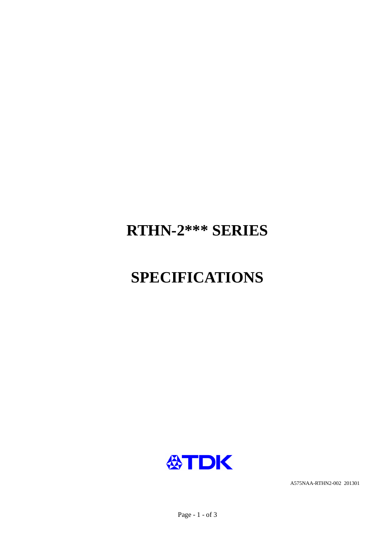

A575NAA-RTHN2-002 201301



# **SPECIFICATIONS**

## RTHN-2\*\*\* SERIES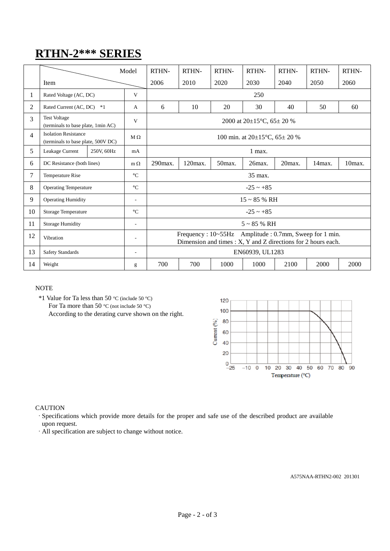## **RTHN-2\*\*\* SERIES**

|                |                                                                   |            |                          |                                                                                                                          | RTHN-   | RTHN-  | RTHN-  |           |           |        |
|----------------|-------------------------------------------------------------------|------------|--------------------------|--------------------------------------------------------------------------------------------------------------------------|---------|--------|--------|-----------|-----------|--------|
|                |                                                                   |            | Model                    | RTHN-                                                                                                                    |         |        |        | RTHN-     | RTHN-     | RTHN-  |
|                | Item                                                              |            |                          | 2006                                                                                                                     | 2010    | 2020   | 2030   | 2040      | 2050      | 2060   |
| 1              | Rated Voltage (AC, DC)                                            |            | V                        | 250                                                                                                                      |         |        |        |           |           |        |
| 2              | Rated Current (AC, DC) *1                                         |            | A                        | 6                                                                                                                        | 10      | 20     | 30     | 40        | 50        | 60     |
| 3              | <b>Test Voltage</b><br>(terminals to base plate, 1min AC)         |            | V                        | 2000 at $20\pm15^{\circ}$ C, 65 $\pm$ 20 %                                                                               |         |        |        |           |           |        |
| $\overline{4}$ | <b>Isolation Resistance</b><br>(terminals to base plate, 500V DC) |            | $M\Omega$                | 100 min. at $20\pm15^{\circ}$ C, 65 $\pm$ 20 %                                                                           |         |        |        |           |           |        |
| 5              | Leakage Current                                                   | 250V, 60Hz | mA                       | 1 max.                                                                                                                   |         |        |        |           |           |        |
| 6              | DC Resistance (both lines)                                        |            | $m \Omega$               | 290max.                                                                                                                  | 120max. | 50max. | 26max. | $20$ max. | $14$ max. | 10max. |
| 7              | <b>Temperature Rise</b>                                           |            | $\rm ^{\circ}C$          | 35 max.                                                                                                                  |         |        |        |           |           |        |
| 8              | <b>Operating Temperature</b>                                      |            | $\rm ^{\circ}C$          | $-25 \sim +85$                                                                                                           |         |        |        |           |           |        |
| 9              | <b>Operating Humidity</b>                                         |            | $\overline{\phantom{a}}$ | $15 \sim 85$ % RH                                                                                                        |         |        |        |           |           |        |
| 10             | <b>Storage Temperature</b>                                        |            | $\rm ^{\circ}C$          | $-25 \sim +85$                                                                                                           |         |        |        |           |           |        |
| 11             | <b>Storage Humidity</b><br>$\overline{\phantom{a}}$               |            |                          | $5 \sim 85$ % RH                                                                                                         |         |        |        |           |           |        |
| 12             | Vibration                                                         |            | $\overline{\phantom{a}}$ | Frequency : 10~55Hz Amplitude : 0.7mm, Sweep for 1 min.<br>Dimension and times : X, Y and Z directions for 2 hours each. |         |        |        |           |           |        |
| 13             | <b>Safety Standards</b>                                           |            | $\overline{\phantom{a}}$ | EN60939, UL1283                                                                                                          |         |        |        |           |           |        |
| 14             | Weight                                                            |            | g                        | 700                                                                                                                      | 700     | 1000   | 1000   | 2100      | 2000      | 2000   |

#### NOTE

\*1 Value for Ta less than 50 °C (include 50 °C) For Ta more than 50  $^{\circ}$ C (not include 50  $^{\circ}$ C) According to the derating curve shown on the right.



#### **CAUTION**

- ·Specifications which provide more details for the proper and safe use of the described product are available upon request.
- ·All specification are subject to change without notice.

A575NAA-RTHN2-002 201301